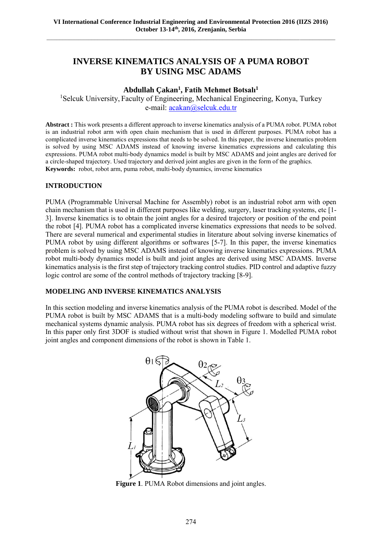# **INVERSE KINEMATICS ANALYSIS OF A PUMA ROBOT BY USING MSC ADAMS**

# **Abdullah Çakan<sup>1</sup> , Fatih Mehmet Botsalı<sup>1</sup>**

<sup>1</sup>Selcuk University, Faculty of Engineering, Mechanical Engineering, Konya, Turkey e-mail: acakan@selcuk.edu.tr

**Abstract :** This work presents a different approach to inverse kinematics analysis of a PUMA robot. PUMA robot is an industrial robot arm with open chain mechanism that is used in different purposes. PUMA robot has a complicated inverse kinematics expressions that needs to be solved. In this paper, the inverse kinematics problem is solved by using MSC ADAMS instead of knowing inverse kinematics expressions and calculating this expressions. PUMA robot multi-body dynamics model is built by MSC ADAMS and joint angles are derived for a circle-shaped trajectory. Used trajectory and derived joint angles are given in the form of the graphics. **Keywords:** robot, robot arm, puma robot, multi-body dynamics, inverse kinematics

## **INTRODUCTION**

PUMA (Programmable Universal Machine for Assembly) robot is an industrial robot arm with open chain mechanism that is used in different purposes like welding, surgery, laser tracking systems, etc [1- 3]. Inverse kinematics is to obtain the joint angles for a desired trajectory or position of the end point the robot [4]. PUMA robot has a complicated inverse kinematics expressions that needs to be solved. There are several numerical and experimental studies in literature about solving inverse kinematics of PUMA robot by using different algorithms or softwares [5-7]. In this paper, the inverse kinematics problem is solved by using MSC ADAMS instead of knowing inverse kinematics expressions. PUMA robot multi-body dynamics model is built and joint angles are derived using MSC ADAMS. Inverse kinematics analysis is the first step of trajectory tracking control studies. PID control and adaptive fuzzy logic control are some of the control methods of trajectory tracking [8-9].

#### **MODELING AND INVERSE KINEMATICS ANALYSIS**

In this section modeling and inverse kinematics analysis of the PUMA robot is described. Model of the PUMA robot is built by MSC ADAMS that is a multi-body modeling software to build and simulate mechanical systems dynamic analysis. PUMA robot has six degrees of freedom with a spherical wrist. In this paper only first 3DOF is studied without wrist that shown in Figure 1. Modelled PUMA robot joint angles and component dimensions of the robot is shown in Table 1.



**Figure 1**. PUMA Robot dimensions and joint angles.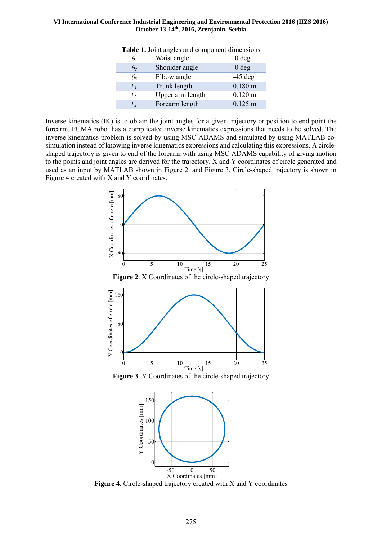**VI International Conference Industrial Engineering and Environmental Protection 2016 (IIZS 2016) October 13-14th, 2016, Zrenjanin, Serbia**  $\_$  , and the set of the set of the set of the set of the set of the set of the set of the set of the set of the set of the set of the set of the set of the set of the set of the set of the set of the set of the set of th

| Table 1. Joint angles and component dimensions |                  |                       |
|------------------------------------------------|------------------|-----------------------|
| $\theta_1$                                     | Waist angle      | 0 <sub>deg</sub>      |
| $\theta_2$                                     | Shoulder angle   | 0 <sub>deg</sub>      |
| $\theta_3$                                     | Elbow angle      | $-45$ deg             |
| $L_1$                                          | Trunk length     | $0.180 \; \mathrm{m}$ |
| L                                              | Upper arm length | $0.120 \text{ m}$     |
| Lз                                             | Forearm length   | $0.125 \; m$          |

Inverse kinematics (IK) is to obtain the joint angles for a given trajectory or position to end point the forearm. PUMA robot has a complicated inverse kinematics expressions that needs to be solved. The inverse kinematics problem is solved by using MSC ADAMS and simulated by using MATLAB cosimulation instead of knowing inverse kinematics expressions and calculating this expressions. A circleshaped trajectory is given to end of the forearm with using MSC ADAMS capability of giving motion to the points and joint angles are derived for the trajectory. X and Y coordinates of circle generated and used as an input by MATLAB shown in Figure 2. and Figure 3. Circle-shaped trajectory is shown in Figure 4 created with X and Y coordinates.



**Figure 2**. X Coordinates of the circle-shaped trajectory



**Figure 3**. Y Coordinates of the circle-shaped trajectory



**Figure 4**. Circle-shaped trajectory created with X and Y coordinates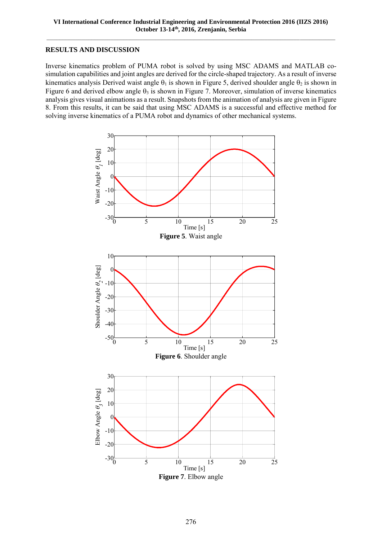#### **RESULTS AND DISCUSSION**

Inverse kinematics problem of PUMA robot is solved by using MSC ADAMS and MATLAB cosimulation capabilities and joint angles are derived for the circle-shaped trajectory. As a result of inverse kinematics analysis Derived waist angle  $\theta_1$  is shown in Figure 5, derived shoulder angle  $\theta_2$  is shown in Figure 6 and derived elbow angle  $\theta_3$  is shown in Figure 7. Moreover, simulation of inverse kinematics analysis gives visual animations as a result. Snapshots from the animation of analysis are given in Figure 8. From this results, it can be said that using MSC ADAMS is a successful and effective method for solving inverse kinematics of a PUMA robot and dynamics of other mechanical systems.